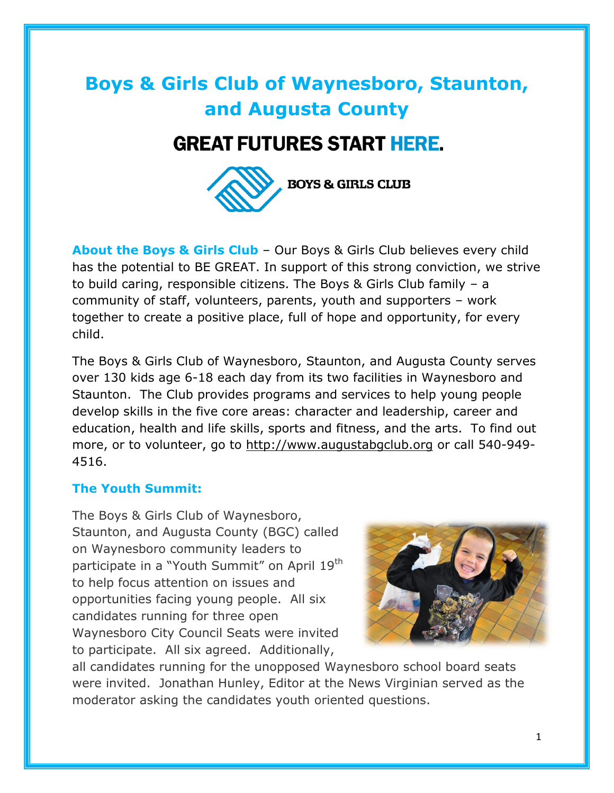# **Boys & Girls Club of Waynesboro, Staunton, and Augusta County**

### **GREAT FUTURES START HERE.**



**About the Boys & Girls Club** – Our Boys & Girls Club believes every child has the potential to BE GREAT. In support of this strong conviction, we strive to build caring, responsible citizens. The Boys & Girls Club family – a community of staff, volunteers, parents, youth and supporters – work together to create a positive place, full of hope and opportunity, for every child.

The Boys & Girls Club of Waynesboro, Staunton, and Augusta County serves over 130 kids age 6-18 each day from its two facilities in Waynesboro and Staunton. The Club provides programs and services to help young people develop skills in the five core areas: character and leadership, career and education, health and life skills, sports and fitness, and the arts. To find out more, or to volunteer, go to [http://www.augustabgclub.org](http://www.augustabgclub.org/) or call 540-949- 4516.

#### **The Youth Summit:**

The Boys & Girls Club of Waynesboro, Staunton, and Augusta County (BGC) called on Waynesboro community leaders to participate in a "Youth Summit" on April 19<sup>th</sup> to help focus attention on issues and opportunities facing young people. All six candidates running for three open Waynesboro City Council Seats were invited to participate. All six agreed. Additionally,



all candidates running for the unopposed Waynesboro school board seats were invited. Jonathan Hunley, Editor at the News Virginian served as the moderator asking the candidates youth oriented questions.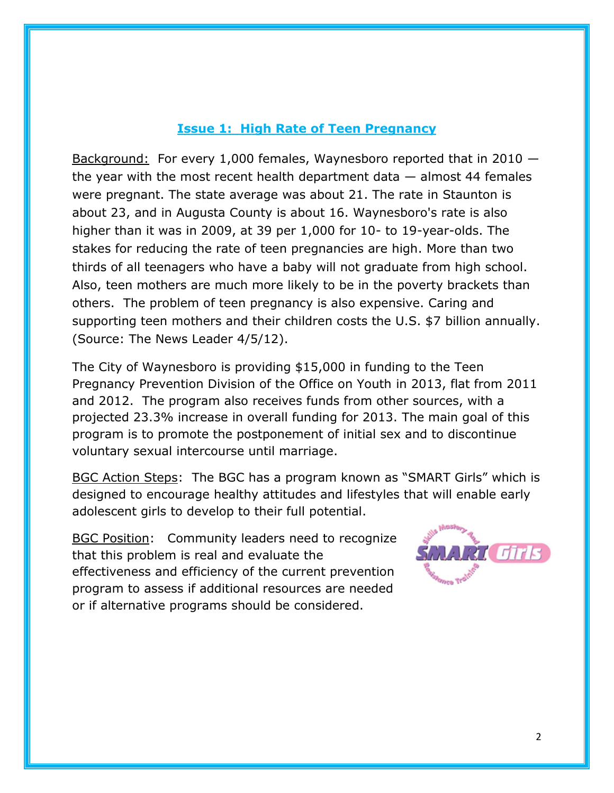#### **Issue 1: High Rate of Teen Pregnancy**

Background: For every 1,000 females, Waynesboro reported that in 2010 the year with the most recent health department data  $-$  almost 44 females were pregnant. The state average was about 21. The rate in Staunton is about 23, and in Augusta County is about 16. Waynesboro's rate is also higher than it was in 2009, at 39 per 1,000 for 10- to 19-year-olds. The stakes for reducing the rate of teen pregnancies are high. More than two thirds of all teenagers who have a baby will not graduate from high school. Also, teen mothers are much more likely to be in the poverty brackets than others. The problem of teen pregnancy is also expensive. Caring and supporting teen mothers and their children costs the U.S. \$7 billion annually. (Source: The News Leader 4/5/12).

The City of Waynesboro is providing \$15,000 in funding to the Teen Pregnancy Prevention Division of the Office on Youth in 2013, flat from 2011 and 2012. The program also receives funds from other sources, with a projected 23.3% increase in overall funding for 2013. The main goal of this program is to promote the postponement of initial sex and to discontinue voluntary sexual intercourse until marriage.

BGC Action Steps: The BGC has a program known as "SMART Girls" which is designed to encourage healthy attitudes and lifestyles that will enable early adolescent girls to develop to their full potential.

BGC Position: Community leaders need to recognize that this problem is real and evaluate the effectiveness and efficiency of the current prevention program to assess if additional resources are needed or if alternative programs should be considered.

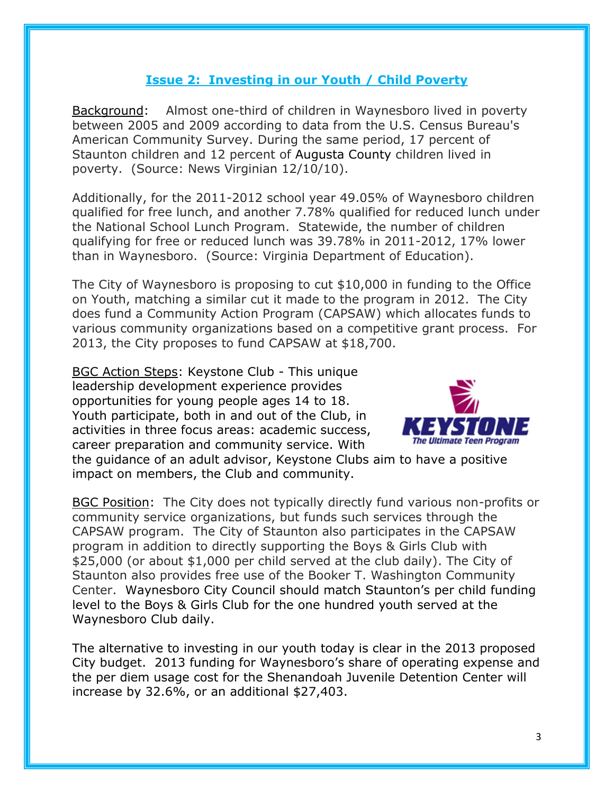#### **Issue 2: Investing in our Youth / Child Poverty**

Background: Almost one-third of children in Waynesboro lived in poverty between 2005 and 2009 according to data from the U.S. Census Bureau's American Community Survey. During the same period, 17 percent of Staunton children and 12 percent of [Augusta County](http://www2.newsvirginian.com/topics/types/provinceorstate/tags/augusta-county/) children lived in poverty. (Source: News Virginian 12/10/10).

Additionally, for the 2011-2012 school year 49.05% of Waynesboro children qualified for free lunch, and another 7.78% qualified for reduced lunch under the National School Lunch Program. Statewide, the number of children qualifying for free or reduced lunch was 39.78% in 2011-2012, 17% lower than in Waynesboro. (Source: Virginia Department of Education).

The City of Waynesboro is proposing to cut \$10,000 in funding to the Office on Youth, matching a similar cut it made to the program in 2012. The City does fund a Community Action Program (CAPSAW) which allocates funds to various community organizations based on a competitive grant process. For 2013, the City proposes to fund CAPSAW at \$18,700.

BGC Action Steps: Keystone Club - This unique leadership development experience provides opportunities for young people ages 14 to 18. Youth participate, both in and out of the Club, in activities in three focus areas: academic success, career preparation and community service. With



the guidance of an adult advisor, Keystone Clubs aim to have a positive impact on members, the Club and community.

BGC Position: The City does not typically directly fund various non-profits or community service organizations, but funds such services through the CAPSAW program. The City of Staunton also participates in the CAPSAW program in addition to directly supporting the Boys & Girls Club with \$25,000 (or about \$1,000 per child served at the club daily). The City of Staunton also provides free use of the Booker T. Washington Community Center. Waynesboro City Council should match Staunton's per child funding level to the Boys & Girls Club for the one hundred youth served at the Waynesboro Club daily.

The alternative to investing in our youth today is clear in the 2013 proposed City budget. 2013 funding for Waynesboro's share of operating expense and the per diem usage cost for the Shenandoah Juvenile Detention Center will increase by 32.6%, or an additional \$27,403.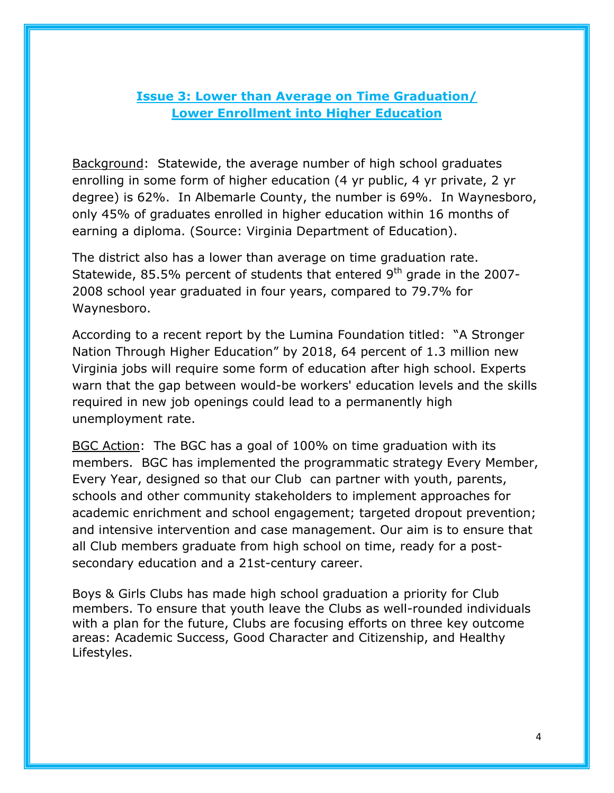#### **Issue 3: Lower than Average on Time Graduation/ Lower Enrollment into Higher Education**

Background: Statewide, the average number of high school graduates enrolling in some form of higher education (4 yr public, 4 yr private, 2 yr degree) is 62%. In Albemarle County, the number is 69%. In Waynesboro, only 45% of graduates enrolled in higher education within 16 months of earning a diploma. (Source: Virginia Department of Education).

The district also has a lower than average on time graduation rate. Statewide, 85.5% percent of students that entered  $9<sup>th</sup>$  grade in the 2007-2008 school year graduated in four years, compared to 79.7% for Waynesboro.

According to a recent report by the Lumina Foundation titled: "A Stronger Nation Through Higher Education" by 2018, 64 percent of 1.3 million new Virginia jobs will require some form of education after high school. Experts warn that the gap between would-be workers' education levels and the skills required in new job openings could lead to a permanently high unemployment rate.

BGC Action: The BGC has a goal of 100% on time graduation with its members. BGC has implemented the programmatic strategy Every Member, Every Year, designed so that our Club can partner with youth, parents, schools and other community stakeholders to implement approaches for academic enrichment and school engagement; targeted dropout prevention; and intensive intervention and case management. Our aim is to ensure that all Club members graduate from high school on time, ready for a postsecondary education and a 21st-century career.

Boys & Girls Clubs has made high school graduation a priority for Club members. To ensure that youth leave the Clubs as well-rounded individuals with a plan for the future, Clubs are focusing efforts on three key outcome areas: Academic Success, Good Character and Citizenship, and Healthy Lifestyles.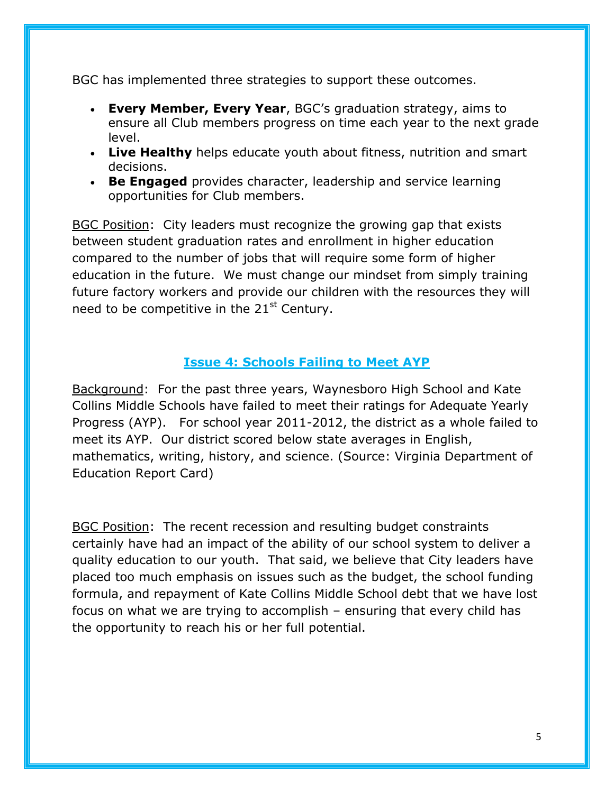BGC has implemented three strategies to support these outcomes.

- **Every Member, Every Year**, BGC's graduation strategy, aims to ensure all Club members progress on time each year to the next grade level.
- **Live Healthy** helps educate youth about fitness, nutrition and smart decisions.
- **Be Engaged** provides character, leadership and service learning opportunities for Club members.

BGC Position: City leaders must recognize the growing gap that exists between student graduation rates and enrollment in higher education compared to the number of jobs that will require some form of higher education in the future. We must change our mindset from simply training future factory workers and provide our children with the resources they will need to be competitive in the  $21<sup>st</sup>$  Century.

#### **Issue 4: Schools Failing to Meet AYP**

Background: For the past three years, Waynesboro High School and Kate Collins Middle Schools have failed to meet their ratings for Adequate Yearly Progress (AYP). For school year 2011-2012, the district as a whole failed to meet its AYP. Our district scored below state averages in English, mathematics, writing, history, and science. (Source: Virginia Department of Education Report Card)

BGC Position: The recent recession and resulting budget constraints certainly have had an impact of the ability of our school system to deliver a quality education to our youth. That said, we believe that City leaders have placed too much emphasis on issues such as the budget, the school funding formula, and repayment of Kate Collins Middle School debt that we have lost focus on what we are trying to accomplish – ensuring that every child has the opportunity to reach his or her full potential.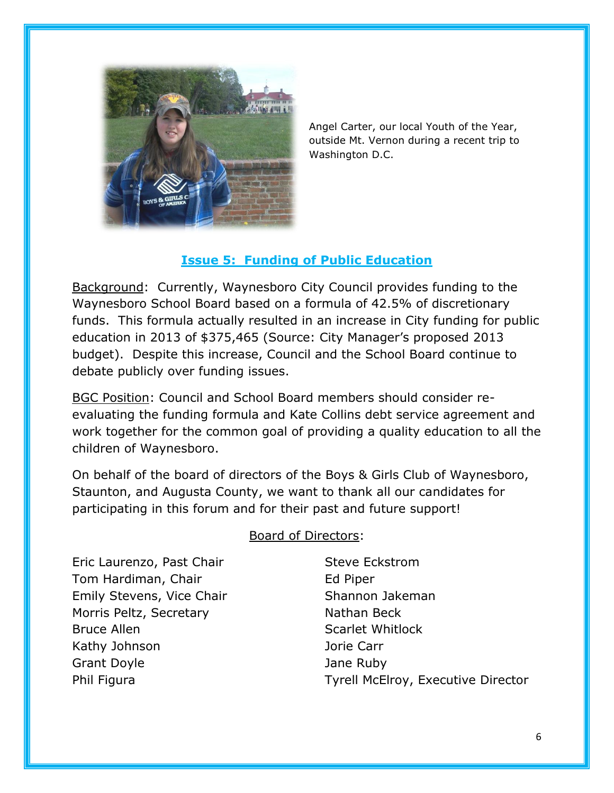

Angel Carter, our local Youth of the Year, outside Mt. Vernon during a recent trip to Washington D.C.

#### **Issue 5: Funding of Public Education**

Background: Currently, Waynesboro City Council provides funding to the Waynesboro School Board based on a formula of 42.5% of discretionary funds. This formula actually resulted in an increase in City funding for public education in 2013 of \$375,465 (Source: City Manager's proposed 2013 budget). Despite this increase, Council and the School Board continue to debate publicly over funding issues.

BGC Position: Council and School Board members should consider reevaluating the funding formula and Kate Collins debt service agreement and work together for the common goal of providing a quality education to all the children of Waynesboro.

On behalf of the board of directors of the Boys & Girls Club of Waynesboro, Staunton, and Augusta County, we want to thank all our candidates for participating in this forum and for their past and future support!

Eric Laurenzo, Past Chair Tom Hardiman, Chair Emily Stevens, Vice Chair Morris Peltz, Secretary Bruce Allen Kathy Johnson Grant Doyle Phil Figura

#### Board of Directors:

Steve Eckstrom Ed Piper Shannon Jakeman Nathan Beck Scarlet Whitlock Jorie Carr Jane Ruby Tyrell McElroy, Executive Director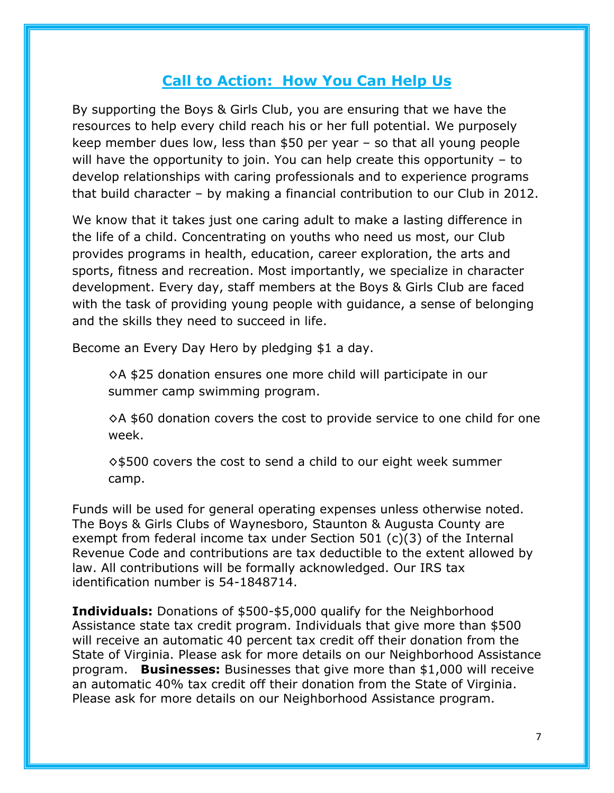### **Call to Action: How You Can Help Us**

By supporting the Boys & Girls Club, you are ensuring that we have the resources to help every child reach his or her full potential. We purposely keep member dues low, less than \$50 per year – so that all young people will have the opportunity to join. You can help create this opportunity – to develop relationships with caring professionals and to experience programs that build character – by making a financial contribution to our Club in 2012.

We know that it takes just one caring adult to make a lasting difference in the life of a child. Concentrating on youths who need us most, our Club provides programs in health, education, career exploration, the arts and sports, fitness and recreation. Most importantly, we specialize in character development. Every day, staff members at the Boys & Girls Club are faced with the task of providing young people with guidance, a sense of belonging and the skills they need to succeed in life.

Become an Every Day Hero by pledging \$1 a day.

◊A \$25 donation ensures one more child will participate in our summer camp swimming program.

 $\Diamond A$  \$60 donation covers the cost to provide service to one child for one week.

◊\$500 covers the cost to send a child to our eight week summer camp.

Funds will be used for general operating expenses unless otherwise noted. The Boys & Girls Clubs of Waynesboro, Staunton & Augusta County are exempt from federal income tax under Section 501 (c)(3) of the Internal Revenue Code and contributions are tax deductible to the extent allowed by law. All contributions will be formally acknowledged. Our IRS tax identification number is 54-1848714.

**Individuals:** Donations of \$500-\$5,000 qualify for the Neighborhood Assistance state tax credit program. Individuals that give more than \$500 will receive an automatic 40 percent tax credit off their donation from the State of Virginia. Please ask for more details on our Neighborhood Assistance program. **Businesses:** Businesses that give more than \$1,000 will receive an automatic 40% tax credit off their donation from the State of Virginia. Please ask for more details on our Neighborhood Assistance program.